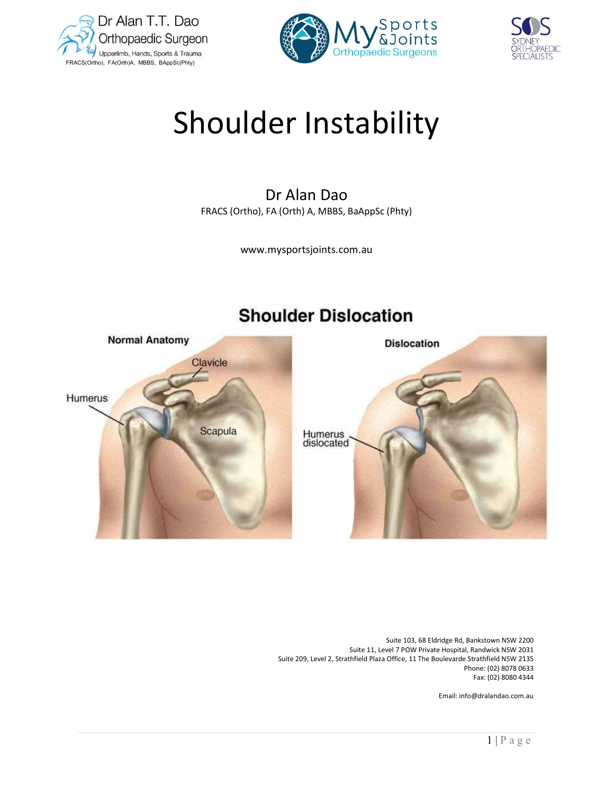





# Shoulder Instability

# Dr Alan Dao FRACS (Ortho), FA (Orth) A, MBBS, BaAppSc (Phty)

www.mysportsjoints.com.au



# **Shoulder Dislocation**

 Suite 103, 68 Eldridge Rd, Bankstown NSW 2200 Suite 11, Level 7 POW Private Hospital, Randwick NSW 2031 Suite 209, Level 2, Strathfield Plaza Office, 11 The Boulevarde Strathfield NSW 2135 Phone: (02) 8078 0633 Fax: (02) 8080 4344

Email: info@dralandao.com.au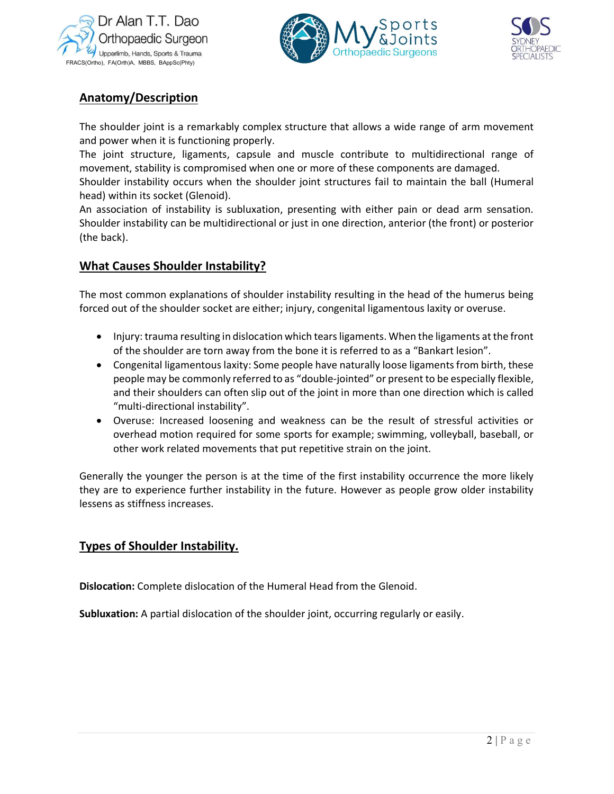





# Anatomy/Description

 The shoulder joint is a remarkably complex structure that allows a wide range of arm movement and power when it is functioning properly.

The joint structure, ligaments, capsule and muscle contribute to multidirectional range of movement, stability is compromised when one or more of these components are damaged.

Shoulder instability occurs when the shoulder joint structures fail to maintain the ball (Humeral head) within its socket (Glenoid).

An association of instability is subluxation, presenting with either pain or dead arm sensation. Shoulder instability can be multidirectional or just in one direction, anterior (the front) or posterior (the back).

# What Causes Shoulder Instability?

The most common explanations of shoulder instability resulting in the head of the humerus being forced out of the shoulder socket are either; injury, congenital ligamentous laxity or overuse.

- Injury: trauma resulting in dislocation which tears ligaments. When the ligaments at the front of the shoulder are torn away from the bone it is referred to as a "Bankart lesion".
- Congenital ligamentous laxity: Some people have naturally loose ligaments from birth, these people may be commonly referred to as "double-jointed" or present to be especially flexible, and their shoulders can often slip out of the joint in more than one direction which is called "multi-directional instability".
- Overuse: Increased loosening and weakness can be the result of stressful activities or overhead motion required for some sports for example; swimming, volleyball, baseball, or other work related movements that put repetitive strain on the joint.

 $\frac{1}{2 | P \text{ a } g}$  e Generally the younger the person is at the time of the first instability occurrence the more likely they are to experience further instability in the future. However as people grow older instability lessens as stiffness increases.

# Types of Shoulder Instability.

Dislocation: Complete dislocation of the Humeral Head from the Glenoid.

Subluxation: A partial dislocation of the shoulder joint, occurring regularly or easily.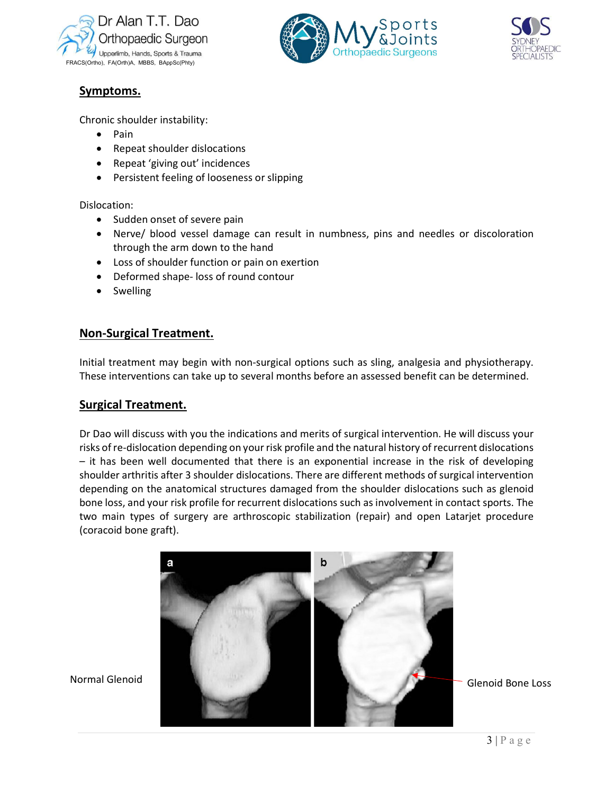





# Symptoms.

Chronic shoulder instability:

- Pain
- Repeat shoulder dislocations
- Repeat 'giving out' incidences
- Persistent feeling of looseness or slipping

Dislocation:

- Sudden onset of severe pain
- Nerve/ blood vessel damage can result in numbness, pins and needles or discoloration through the arm down to the hand
- Loss of shoulder function or pain on exertion
- Deformed shape- loss of round contour
- Swelling

# Non-Surgical Treatment.

Initial treatment may begin with non-surgical options such as sling, analgesia and physiotherapy. These interventions can take up to several months before an assessed benefit can be determined.

# Surgical Treatment.

Dr Dao will discuss with you the indications and merits of surgical intervention. He will discuss your risks of re-dislocation depending on your risk profile and the natural history of recurrent dislocations – it has been well documented that there is an exponential increase in the risk of developing shoulder arthritis after 3 shoulder dislocations. There are different methods of surgical intervention depending on the anatomical structures damaged from the shoulder dislocations such as glenoid bone loss, and your risk profile for recurrent dislocations such as involvement in contact sports. The two main types of surgery are arthroscopic stabilization (repair) and open Latarjet procedure (coracoid bone graft).

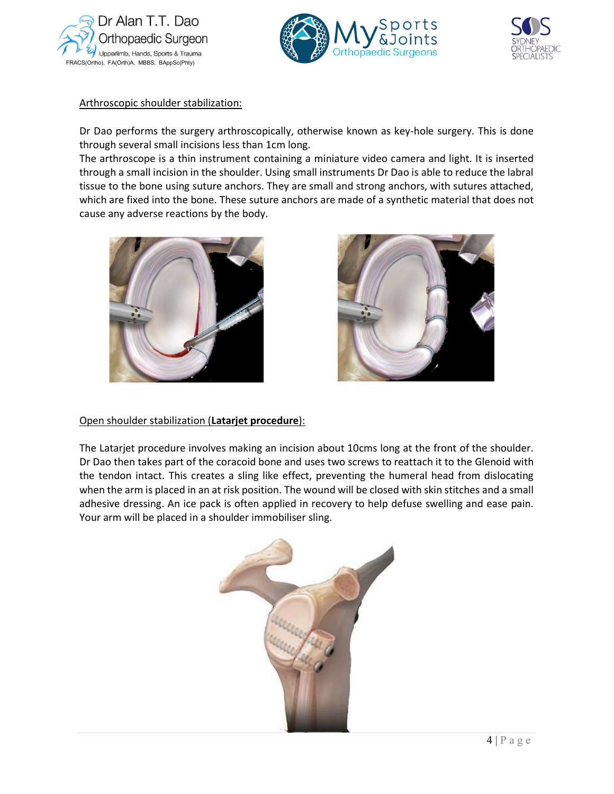





#### Arthroscopic shoulder stabilization:

Dr Dao performs the surgery arthroscopically, otherwise known as key-hole surgery. This is done through several small incisions less than 1cm long.

The arthroscope is a thin instrument containing a miniature video camera and light. It is inserted through a small incision in the shoulder. Using small instruments Dr Dao is able to reduce the labral tissue to the bone using suture anchors. They are small and strong anchors, with sutures attached, which are fixed into the bone. These suture anchors are made of a synthetic material that does not cause any adverse reactions by the body.





#### Open shoulder stabilization (Latarjet procedure):

and a small ease pain.<br>  $\frac{4 | P a g e}{ }$ The Latarjet procedure involves making an incision about 10cms long at the front of the shoulder. Dr Dao then takes part of the coracoid bone and uses two screws to reattach it to the Glenoid with the tendon intact. This creates a sling like effect, preventing the humeral head from dislocating when the arm is placed in an at risk position. The wound will be closed with skin stitches and a small adhesive dressing. An ice pack is often applied in recovery to help defuse swelling and ease pain. Your arm will be placed in a shoulder immobiliser sling.